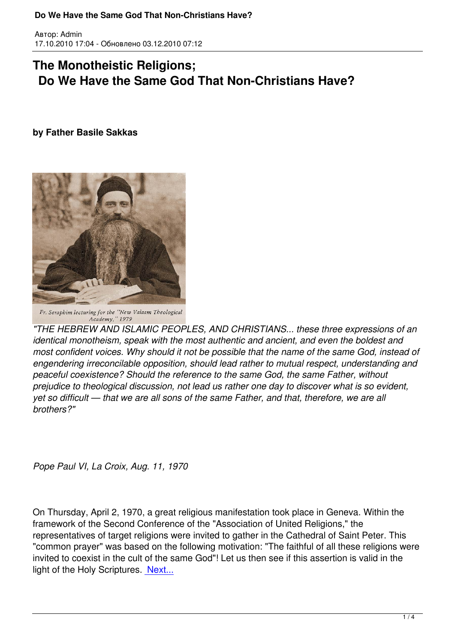## **The Monotheistic Religions; Do We Have the Same God That Non-Christians Have?**

## **by Father Basile Sakkas**

Автор: Admin



Fr. Seraphim lecturing for the "New Valaam Theological Academy," 1979

*"THE HEBREW AND ISLAMIC PEOPLES, AND CHRISTIANS... these three expressions of an identical monotheism, speak with the most authentic and ancient, and even the boldest and most confident voices. Why should it not be possible that the name of the same God, instead of engendering irreconcilable opposition, should lead rather to mutual respect, understanding and peaceful coexistence? Should the reference to the same God, the same Father, without prejudice to theological discussion, not lead us rather one day to discover what is so evident, yet so difficult — that we are all sons of the same Father, and that, therefore, we are all brothers?"*

*Pope Paul VI, La Croix, Aug. 11, 1970*

On Thursday, April 2, 1970, a great religious manifestation took place in Geneva. Within the framework of the Second Conference of the "Association of United Religions," the representatives of target religions were invited to gather in the Cathedral of Saint Peter. This "common prayer" was based on the following motivation: "The faithful of all these religions were invited to coexist in the cult of the same God"! Let us then see if this assertion is valid in the light of the Holy Scriptures. Next...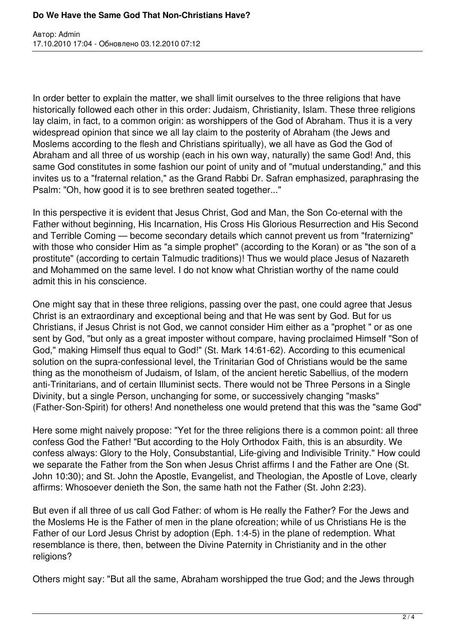Автор: Admin 17.10.2010 17:04 - Обновлено 03.12.2010 07:12

In order better to explain the matter, we shall limit ourselves to the three religions that have historically followed each other in this order: Judaism, Christianity, Islam. These three religions lay claim, in fact, to a common origin: as worshippers of the God of Abraham. Thus it is a very widespread opinion that since we all lay claim to the posterity of Abraham (the Jews and Moslems according to the flesh and Christians spiritually), we all have as God the God of Abraham and all three of us worship (each in his own way, naturally) the same God! And, this same God constitutes in some fashion our point of unity and of "mutual understanding," and this invites us to a "fraternal relation," as the Grand Rabbi Dr. Safran emphasized, paraphrasing the Psalm: "Oh, how good it is to see brethren seated together..."

In this perspective it is evident that Jesus Christ, God and Man, the Son Co-eternal with the Father without beginning, His Incarnation, His Cross His Glorious Resurrection and His Second and Terrible Coming — become secondary details which cannot prevent us from "fraternizing" with those who consider Him as "a simple prophet" (according to the Koran) or as "the son of a prostitute" (according to certain Talmudic traditions)! Thus we would place Jesus of Nazareth and Mohammed on the same level. I do not know what Christian worthy of the name could admit this in his conscience.

One might say that in these three religions, passing over the past, one could agree that Jesus Christ is an extraordinary and exceptional being and that He was sent by God. But for us Christians, if Jesus Christ is not God, we cannot consider Him either as a "prophet " or as one sent by God, "but only as a great imposter without compare, having proclaimed Himself "Son of God," making Himself thus equal to God!" (St. Mark 14:61-62). According to this ecumenical solution on the supra-confessional level, the Trinitarian God of Christians would be the same thing as the monotheism of Judaism, of Islam, of the ancient heretic Sabellius, of the modern anti-Trinitarians, and of certain Illuminist sects. There would not be Three Persons in a Single Divinity, but a single Person, unchanging for some, or successively changing "masks" (Father-Son-Spirit) for others! And nonetheless one would pretend that this was the "same God"

Here some might naively propose: "Yet for the three religions there is a common point: all three confess God the Father! "But according to the Holy Orthodox Faith, this is an absurdity. We confess always: Glory to the Holy, Consubstantial, Life-giving and Indivisible Trinity." How could we separate the Father from the Son when Jesus Christ affirms I and the Father are One (St. John 10:30); and St. John the Apostle, Evangelist, and Theologian, the Apostle of Love, clearly affirms: Whosoever denieth the Son, the same hath not the Father (St. John 2:23).

But even if all three of us call God Father: of whom is He really the Father? For the Jews and the Moslems He is the Father of men in the plane ofcreation; while of us Christians He is the Father of our Lord Jesus Christ by adoption (Eph. 1:4-5) in the plane of redemption. What resemblance is there, then, between the Divine Paternity in Christianity and in the other religions?

Others might say: "But all the same, Abraham worshipped the true God; and the Jews through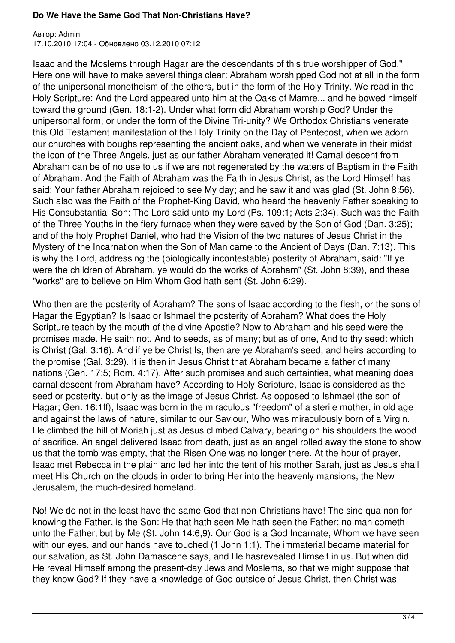## **Do We Have the Same God That Non-Christians Have?**

Автор: Admin 17.10.2010 17:04 - Обновлено 03.12.2010 07:12

Isaac and the Moslems through Hagar are the descendants of this true worshipper of God." Here one will have to make several things clear: Abraham worshipped God not at all in the form of the unipersonal monotheism of the others, but in the form of the Holy Trinity. We read in the Holy Scripture: And the Lord appeared unto him at the Oaks of Mamre... and he bowed himself toward the ground (Gen. 18:1-2). Under what form did Abraham worship God? Under the unipersonal form, or under the form of the Divine Tri-unity? We Orthodox Christians venerate this Old Testament manifestation of the Holy Trinity on the Day of Pentecost, when we adorn our churches with boughs representing the ancient oaks, and when we venerate in their midst the icon of the Three Angels, just as our father Abraham venerated it! Carnal descent from Abraham can be of no use to us if we are not regenerated by the waters of Baptism in the Faith of Abraham. And the Faith of Abraham was the Faith in Jesus Christ, as the Lord Himself has said: Your father Abraham rejoiced to see My day; and he saw it and was glad (St. John 8:56). Such also was the Faith of the Prophet-King David, who heard the heavenly Father speaking to His Consubstantial Son: The Lord said unto my Lord (Ps. 109:1; Acts 2:34). Such was the Faith of the Three Youths in the fiery furnace when they were saved by the Son of God (Dan. 3:25); and of the holy Prophet Daniel, who had the Vision of the two natures of Jesus Christ in the Mystery of the Incarnation when the Son of Man came to the Ancient of Days (Dan. 7:13). This is why the Lord, addressing the (biologically incontestable) posterity of Abraham, said: "If ye were the children of Abraham, ye would do the works of Abraham" (St. John 8:39), and these "works" are to believe on Him Whom God hath sent (St. John 6:29).

Who then are the posterity of Abraham? The sons of Isaac according to the flesh, or the sons of Hagar the Egyptian? Is Isaac or Ishmael the posterity of Abraham? What does the Holy Scripture teach by the mouth of the divine Apostle? Now to Abraham and his seed were the promises made. He saith not, And to seeds, as of many; but as of one, And to thy seed: which is Christ (Gal. 3:16). And if ye be Christ Is, then are ye Abraham's seed, and heirs according to the promise (Gal. 3:29). It is then in Jesus Christ that Abraham became a father of many nations (Gen. 17:5; Rom. 4:17). After such promises and such certainties, what meaning does carnal descent from Abraham have? According to Holy Scripture, Isaac is considered as the seed or posterity, but only as the image of Jesus Christ. As opposed to Ishmael (the son of Hagar; Gen. 16:1ff), Isaac was born in the miraculous "freedom" of a sterile mother, in old age and against the laws of nature, similar to our Saviour, Who was miraculously born of a Virgin. He climbed the hill of Moriah just as Jesus climbed Calvary, bearing on his shoulders the wood of sacrifice. An angel delivered Isaac from death, just as an angel rolled away the stone to show us that the tomb was empty, that the Risen One was no longer there. At the hour of prayer, Isaac met Rebecca in the plain and led her into the tent of his mother Sarah, just as Jesus shall meet His Church on the clouds in order to bring Her into the heavenly mansions, the New Jerusalem, the much-desired homeland.

No! We do not in the least have the same God that non-Christians have! The sine qua non for knowing the Father, is the Son: He that hath seen Me hath seen the Father; no man cometh unto the Father, but by Me (St. John 14:6,9). Our God is a God Incarnate, Whom we have seen with our eyes, and our hands have touched (1 John 1:1). The immaterial became material for our salvation, as St. John Damascene says, and He hasrevealed Himself in us. But when did He reveal Himself among the present-day Jews and Moslems, so that we might suppose that they know God? If they have a knowledge of God outside of Jesus Christ, then Christ was